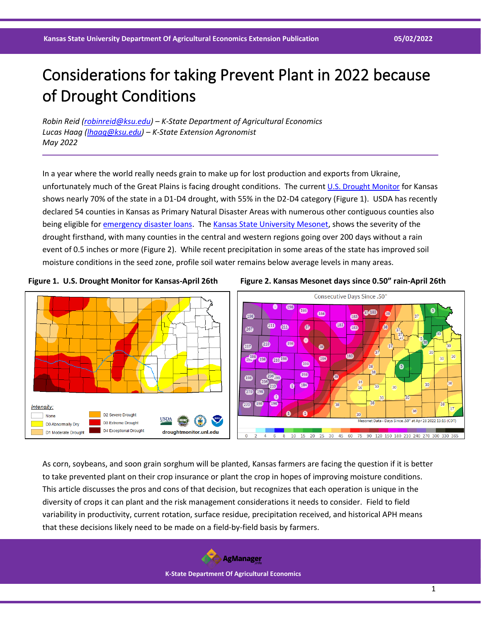# Considerations for taking Prevent Plant in 2022 because of Drought Conditions

*Robin Reid [\(robinreid@ksu.edu\)](mailto:robinreid@ksu.edu) – K-State Department of Agricultural Economics Lucas Haag [\(lhaag@ksu.edu\)](mailto:lhaag@ksu.edu) – K-State Extension Agronomist May 2022*

In a year where the world really needs grain to make up for lost production and exports from Ukraine, unfortunately much of the Great Plains is facing drought conditions. The current [U.S. Drought Monitor](https://droughtmonitor.unl.edu/) for Kansas shows nearly 70% of the state in a D1-D4 drought, with 55% in the D2-D4 category (Figure 1). USDA has recently declared 54 counties in Kansas as Primary Natural Disaster Areas with numerous other contiguous counties also being eligible for *emergency disaster loans*. Th[e Kansas State University Mesonet,](https://mesonet.k-state.edu/) shows the severity of the drought firsthand, with many counties in the central and western regions going over 200 days without a rain event of 0.5 inches or more (Figure 2). While recent precipitation in some areas of the state has improved soil moisture conditions in the seed zone, profile soil water remains below average levels in many areas.







As corn, soybeans, and soon grain sorghum will be planted, Kansas farmers are facing the question if it is better to take prevented plant on their crop insurance or plant the crop in hopes of improving moisture conditions. This article discusses the pros and cons of that decision, but recognizes that each operation is unique in the diversity of crops it can plant and the risk management considerations it needs to consider. Field to field variability in productivity, current rotation, surface residue, precipitation received, and historical APH means that these decisions likely need to be made on a field-by-field basis by farmers.

> **AgManager K-State Department Of Agricultural Economics**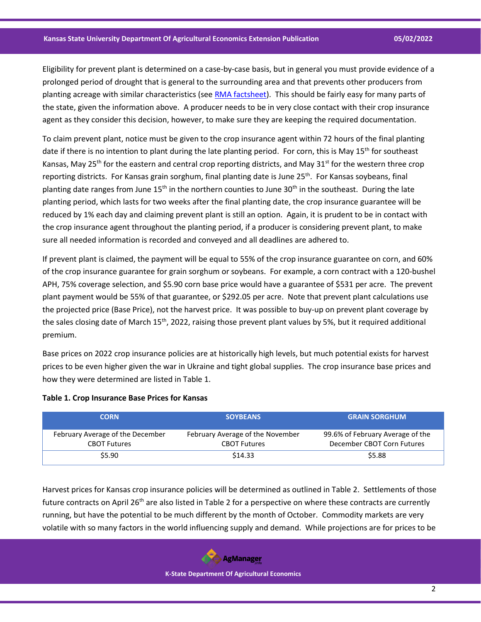Eligibility for prevent plant is determined on a case-by-case basis, but in general you must provide evidence of a prolonged period of drought that is general to the surrounding area and that prevents other producers from planting acreage with similar characteristics (see [RMA factsheet\)](https://www.rma.usda.gov/Fact-Sheets/National-Fact-Sheets/Prevented-Planting-Insurance-Provisions-Drought). This should be fairly easy for many parts of the state, given the information above. A producer needs to be in very close contact with their crop insurance agent as they consider this decision, however, to make sure they are keeping the required documentation.

To claim prevent plant, notice must be given to the crop insurance agent within 72 hours of the final planting date if there is no intention to plant during the late planting period. For corn, this is May 15<sup>th</sup> for southeast Kansas, May 25<sup>th</sup> for the eastern and central crop reporting districts, and May 31<sup>st</sup> for the western three crop reporting districts. For Kansas grain sorghum, final planting date is June 25<sup>th</sup>. For Kansas soybeans, final planting date ranges from June  $15<sup>th</sup>$  in the northern counties to June  $30<sup>th</sup>$  in the southeast. During the late planting period, which lasts for two weeks after the final planting date, the crop insurance guarantee will be reduced by 1% each day and claiming prevent plant is still an option. Again, it is prudent to be in contact with the crop insurance agent throughout the planting period, if a producer is considering prevent plant, to make sure all needed information is recorded and conveyed and all deadlines are adhered to.

If prevent plant is claimed, the payment will be equal to 55% of the crop insurance guarantee on corn, and 60% of the crop insurance guarantee for grain sorghum or soybeans. For example, a corn contract with a 120-bushel APH, 75% coverage selection, and \$5.90 corn base price would have a guarantee of \$531 per acre. The prevent plant payment would be 55% of that guarantee, or \$292.05 per acre. Note that prevent plant calculations use the projected price (Base Price), not the harvest price. It was possible to buy-up on prevent plant coverage by the sales closing date of March 15<sup>th</sup>, 2022, raising those prevent plant values by 5%, but it required additional premium.

Base prices on 2022 crop insurance policies are at historically high levels, but much potential exists for harvest prices to be even higher given the war in Ukraine and tight global supplies. The crop insurance base prices and how they were determined are listed in Table 1.

| <b>CORN</b>                                             | <b>SOYBEANS</b>                                         | <b>GRAIN SORGHUM</b>                                           |
|---------------------------------------------------------|---------------------------------------------------------|----------------------------------------------------------------|
| February Average of the December<br><b>CBOT Futures</b> | February Average of the November<br><b>CBOT Futures</b> | 99.6% of February Average of the<br>December CBOT Corn Futures |
| \$5.90                                                  | \$14.33                                                 | \$5.88                                                         |

#### **Table 1. Crop Insurance Base Prices for Kansas**

Harvest prices for Kansas crop insurance policies will be determined as outlined in Table 2. Settlements of those future contracts on April 26<sup>th</sup> are also listed in Table 2 for a perspective on where these contracts are currently running, but have the potential to be much different by the month of October. Commodity markets are very volatile with so many factors in the world influencing supply and demand. While projections are for prices to be

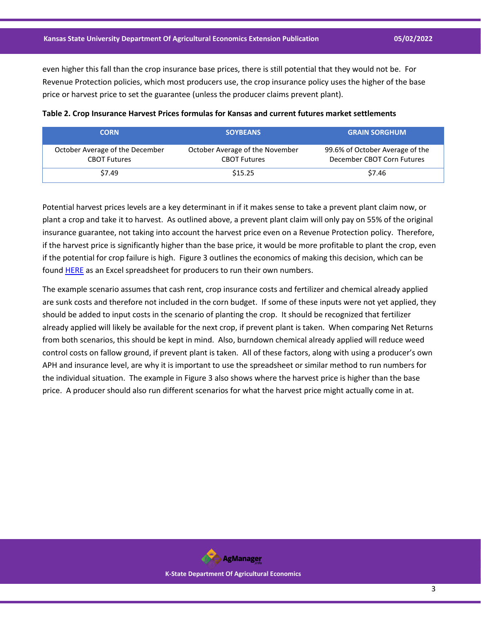even higher this fall than the crop insurance base prices, there is still potential that they would not be. For Revenue Protection policies, which most producers use, the crop insurance policy uses the higher of the base price or harvest price to set the guarantee (unless the producer claims prevent plant).

| <b>CORN</b>                                            | <b>SOYBEANS</b>                                        | <b>GRAIN SORGHUM</b>                                          |
|--------------------------------------------------------|--------------------------------------------------------|---------------------------------------------------------------|
| October Average of the December<br><b>CBOT Futures</b> | October Average of the November<br><b>CBOT Futures</b> | 99.6% of October Average of the<br>December CBOT Corn Futures |
| \$7.49                                                 | \$15.25                                                | \$7.46                                                        |

| Table 2. Crop Insurance Harvest Prices formulas for Kansas and current futures market settlements |  |
|---------------------------------------------------------------------------------------------------|--|
|---------------------------------------------------------------------------------------------------|--|

Potential harvest prices levels are a key determinant in if it makes sense to take a prevent plant claim now, or plant a crop and take it to harvest. As outlined above, a prevent plant claim will only pay on 55% of the original insurance guarantee, not taking into account the harvest price even on a Revenue Protection policy. Therefore, if the harvest price is significantly higher than the base price, it would be more profitable to plant the crop, even if the potential for crop failure is high. Figure 3 outlines the economics of making this decision, which can be found **HERE** as an Excel spreadsheet for producers to run their own numbers.

The example scenario assumes that cash rent, crop insurance costs and fertilizer and chemical already applied are sunk costs and therefore not included in the corn budget. If some of these inputs were not yet applied, they should be added to input costs in the scenario of planting the crop. It should be recognized that fertilizer already applied will likely be available for the next crop, if prevent plant is taken. When comparing Net Returns from both scenarios, this should be kept in mind. Also, burndown chemical already applied will reduce weed control costs on fallow ground, if prevent plant is taken. All of these factors, along with using a producer's own APH and insurance level, are why it is important to use the spreadsheet or similar method to run numbers for the individual situation. The example in Figure 3 also shows where the harvest price is higher than the base price. A producer should also run different scenarios for what the harvest price might actually come in at.

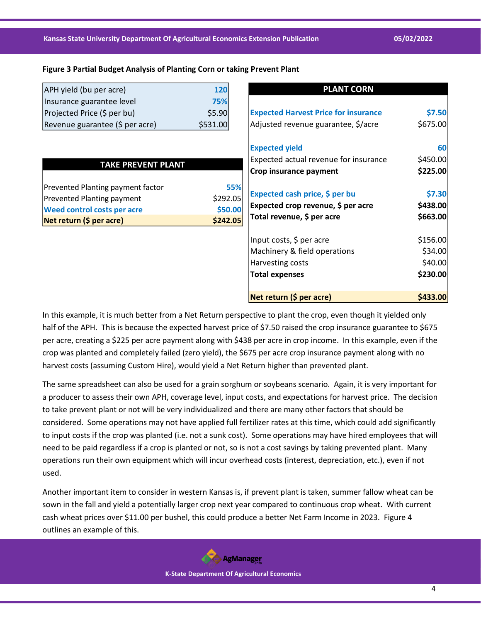### **Figure 3 Partial Budget Analysis of Planting Corn or taking Prevent Plant**

| APH yield (bu per acre)         | 120      |
|---------------------------------|----------|
| Insurance guarantee level       | 75%      |
| Projected Price (\$ per bu)     | \$5.90   |
| Revenue guarantee (\$ per acre) | \$531.00 |

| TAKE PREVENT PLANT |  |
|--------------------|--|
|--------------------|--|

| Net return (\$ per acre)           | \$242.05 |
|------------------------------------|----------|
| <b>Weed control costs per acre</b> | \$50.00  |
| <b>Prevented Planting payment</b>  | \$292.05 |
| Prevented Planting payment factor  | 55%      |
|                                    |          |

| <b>PLANT CORN</b>                           |                |
|---------------------------------------------|----------------|
|                                             |                |
| <b>Expected Harvest Price for insurance</b> | \$7.50         |
| Adjusted revenue guarantee, \$/acre         | \$675.00       |
| <b>Expected yield</b>                       | 60             |
| Expected actual revenue for insurance       | \$450.00       |
| Crop insurance payment                      | \$225.00       |
| Expected cash price, \$ per bu              | \$7.30         |
| Expected crop revenue, \$ per acre          | \$438.00       |
| Total revenue, \$ per acre                  | \$663.00       |
| Input costs, \$ per acre                    | \$156.00       |
| Machinery & field operations                | \$34.00        |
| Harvesting costs                            | \$40.00        |
| <b>Total expenses</b>                       | \$230.00       |
| Net return (\$ per acre)                    | <b>S433.00</b> |

In this example, it is much better from a Net Return perspective to plant the crop, even though it yielded only half of the APH. This is because the expected harvest price of \$7.50 raised the crop insurance guarantee to \$675 per acre, creating a \$225 per acre payment along with \$438 per acre in crop income. In this example, even if the crop was planted and completely failed (zero yield), the \$675 per acre crop insurance payment along with no harvest costs (assuming Custom Hire), would yield a Net Return higher than prevented plant.

The same spreadsheet can also be used for a grain sorghum or soybeans scenario. Again, it is very important for a producer to assess their own APH, coverage level, input costs, and expectations for harvest price. The decision to take prevent plant or not will be very individualized and there are many other factors that should be considered. Some operations may not have applied full fertilizer rates at this time, which could add significantly to input costs if the crop was planted (i.e. not a sunk cost). Some operations may have hired employees that will need to be paid regardless if a crop is planted or not, so is not a cost savings by taking prevented plant. Many operations run their own equipment which will incur overhead costs (interest, depreciation, etc.), even if not used.

Another important item to consider in western Kansas is, if prevent plant is taken, summer fallow wheat can be sown in the fall and yield a potentially larger crop next year compared to continuous crop wheat. With current cash wheat prices over \$11.00 per bushel, this could produce a better Net Farm Income in 2023. Figure 4 outlines an example of this.

> **AgManager K-State Department Of Agricultural Economics**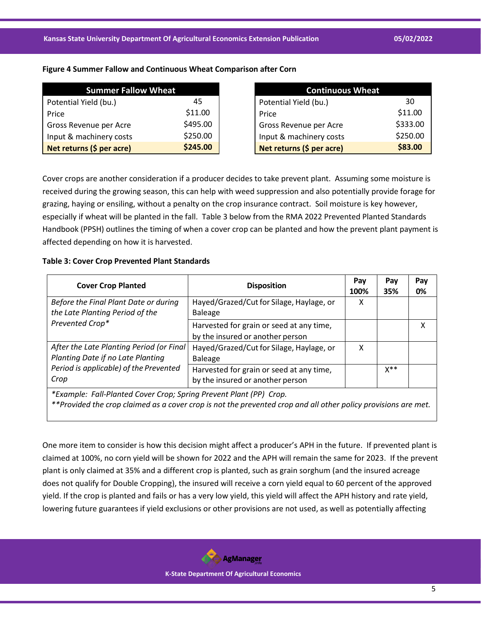## **Figure 4 Summer Fallow and Continuous Wheat Comparison after Corn**

| <b>Summer Fallow Wheat</b> |          |  |  |
|----------------------------|----------|--|--|
| Potential Yield (bu.)      | 45       |  |  |
| Price                      | \$11.00  |  |  |
| Gross Revenue per Acre     | \$495.00 |  |  |
| Input & machinery costs    | \$250.00 |  |  |
| Net returns (\$ per acre)  | \$245.00 |  |  |

| <b>Continuous Wheat</b>   |          |  |  |
|---------------------------|----------|--|--|
| Potential Yield (bu.)     | 30       |  |  |
| Price                     | \$11.00  |  |  |
| Gross Revenue per Acre    | \$333.00 |  |  |
| Input & machinery costs   | \$250.00 |  |  |
| Net returns (\$ per acre) | \$83.00  |  |  |

Cover crops are another consideration if a producer decides to take prevent plant. Assuming some moisture is received during the growing season, this can help with weed suppression and also potentially provide forage for grazing, haying or ensiling, without a penalty on the crop insurance contract. Soil moisture is key however, especially if wheat will be planted in the fall. Table 3 below from the RMA 2022 Prevented Planted Standards Handbook (PPSH) outlines the timing of when a cover crop can be planted and how the prevent plant payment is affected depending on how it is harvested.

## **Table 3: Cover Crop Prevented Plant Standards**

| <b>Cover Crop Planted</b>                                                                                                                                                            | <b>Disposition</b>                                                           | Pay<br>100% | Pay<br>35%     | Pay<br>0% |
|--------------------------------------------------------------------------------------------------------------------------------------------------------------------------------------|------------------------------------------------------------------------------|-------------|----------------|-----------|
| Before the Final Plant Date or during<br>the Late Planting Period of the                                                                                                             | Hayed/Grazed/Cut for Silage, Haylage, or<br><b>Baleage</b>                   | x           |                |           |
| Prevented Crop*                                                                                                                                                                      | Harvested for grain or seed at any time,<br>by the insured or another person |             |                | X         |
| After the Late Planting Period (or Final<br>Planting Date if no Late Planting                                                                                                        | Hayed/Grazed/Cut for Silage, Haylage, or<br><b>Baleage</b>                   | χ           |                |           |
| Period is applicable) of the Prevented<br>Crop                                                                                                                                       | Harvested for grain or seed at any time,<br>by the insured or another person |             | $X^{\ast\ast}$ |           |
| *Example: Fall-Planted Cover Crop; Spring Prevent Plant (PP) Crop.<br>**Provided the crop claimed as a cover crop is not the prevented crop and all other policy provisions are met. |                                                                              |             |                |           |

One more item to consider is how this decision might affect a producer's APH in the future. If prevented plant is claimed at 100%, no corn yield will be shown for 2022 and the APH will remain the same for 2023. If the prevent plant is only claimed at 35% and a different crop is planted, such as grain sorghum (and the insured acreage does not qualify for Double Cropping), the insured will receive a corn yield equal to 60 percent of the approved yield. If the crop is planted and fails or has a very low yield, this yield will affect the APH history and rate yield, lowering future guarantees if yield exclusions or other provisions are not used, as well as potentially affecting

**AgManager**